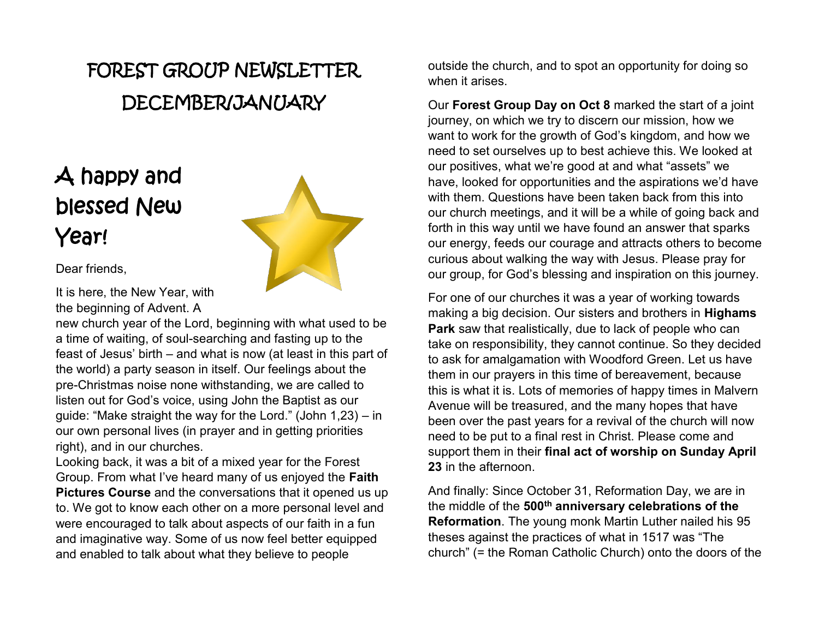# FOREST GROUP NEWSLETTER DECEMBER/JANUARY

# A happy and blessed New Year!



Dear friends,

It is here, the New Year, with the beginning of Advent. A

new church year of the Lord, beginning with what used to be a time of waiting, of soul-searching and fasting up to the feast of Jesus' birth – and what is now (at least in this part of the world) a party season in itself. Our feelings about the pre-Christmas noise none withstanding, we are called to listen out for God's voice, using John the Baptist as our guide: "Make straight the way for the Lord." (John 1,23) – in our own personal lives (in prayer and in getting priorities right), and in our churches.

Looking back, it was a bit of a mixed year for the Forest Group. From what I've heard many of us enjoyed the **Faith Pictures Course** and the conversations that it opened us up to. We got to know each other on a more personal level and were encouraged to talk about aspects of our faith in a fun and imaginative way. Some of us now feel better equipped and enabled to talk about what they believe to people

outside the church, and to spot an opportunity for doing so when it arises

Our **Forest Group Day on Oct 8** marked the start of a joint journey, on which we try to discern our mission, how we want to work for the growth of God's kingdom, and how we need to set ourselves up to best achieve this. We looked at our positives, what we're good at and what "assets" we have, looked for opportunities and the aspirations we'd have with them. Questions have been taken back from this into our church meetings, and it will be a while of going back and forth in this way until we have found an answer that sparks our energy, feeds our courage and attracts others to become curious about walking the way with Jesus. Please pray for our group, for God's blessing and inspiration on this journey.

For one of our churches it was a year of working towards making a big decision. Our sisters and brothers in **Highams Park** saw that realistically, due to lack of people who can take on responsibility, they cannot continue. So they decided to ask for amalgamation with Woodford Green. Let us have them in our prayers in this time of bereavement, because this is what it is. Lots of memories of happy times in Malvern Avenue will be treasured, and the many hopes that have been over the past years for a revival of the church will now need to be put to a final rest in Christ. Please come and support them in their **final act of worship on Sunday April 23** in the afternoon.

And finally: Since October 31, Reformation Day, we are in the middle of the **500th anniversary celebrations of the Reformation**. The young monk Martin Luther nailed his 95 theses against the practices of what in 1517 was "The church" (= the Roman Catholic Church) onto the doors of the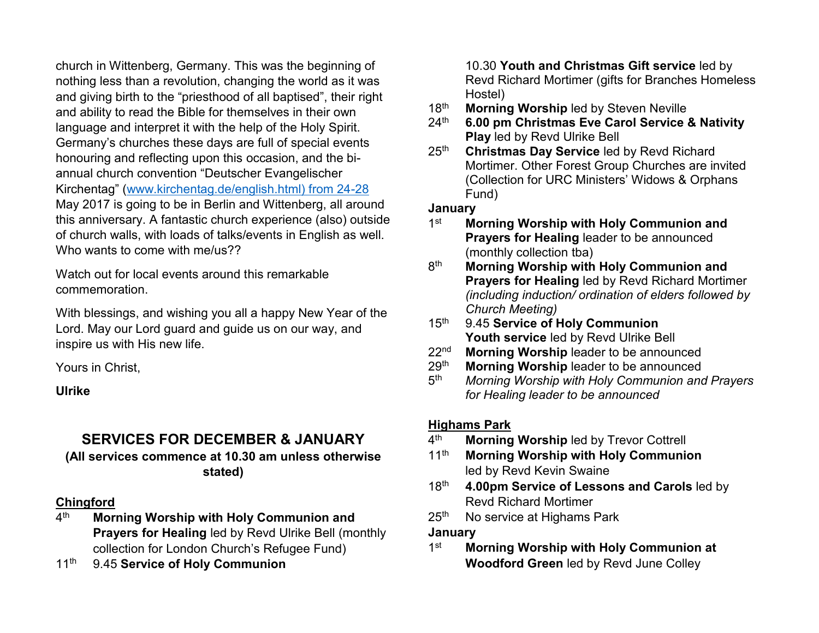church in Wittenberg, Germany. This was the beginning of nothing less than a revolution, changing the world as it was and giving birth to the "priesthood of all baptised", their right and ability to read the Bible for themselves in their own language and interpret it with the help of the Holy Spirit. Germany's churches these days are full of special events honouring and reflecting upon this occasion, and the biannual church convention "Deutscher Evangelischer Kirchentag" ([www.kirchentag.de/english.html\) from 24-28](http://www.kirchentag.de/english.html)%20from%2024-28) May 2017 is going to be in Berlin and Wittenberg, all around this anniversary. A fantastic church experience (also) outside of church walls, with loads of talks/events in English as well. Who wants to come with me/us??

Watch out for local events around this remarkable commemoration.

With blessings, and wishing you all a happy New Year of the Lord. May our Lord guard and guide us on our way, and inspire us with His new life.

Yours in Christ,

**Ulrike**

# **SERVICES FOR DECEMBER & JANUARY**

### **(All services commence at 10.30 am unless otherwise stated)**

# **Chingford**

- 4th **Morning Worship with Holy Communion and Prayers for Healing** led by Revd Ulrike Bell (monthly collection for London Church's Refugee Fund)
- 11th 9.45 **Service of Holy Communion**

#### 10.30 **Youth and Christmas Gift service** led by Revd Richard Mortimer (gifts for Branches Homeless Hostel)

- 18<sup>th</sup> Morning Worship led by Steven Neville
- 24th **6.00 pm Christmas Eve Carol Service & Nativity Play** led by Revd Ulrike Bell
- 25th **Christmas Day Service** led by Revd Richard Mortimer. Other Forest Group Churches are invited (Collection for URC Ministers' Widows & Orphans Fund)

## **January**

- 1st **Morning Worship with Holy Communion and Prayers for Healing** leader to be announced (monthly collection tba)
- 8th **Morning Worship with Holy Communion and Prayers for Healing** led by Revd Richard Mortimer *(including induction/ ordination of elders followed by Church Meeting)*
- 15th 9.45 **Service of Holy Communion Youth service** led by Revd Ulrike Bell
- 22nd **Morning Worship** leader to be announced
- 29th **Morning Worship** leader to be announced
- 5th *Morning Worship with Holy Communion and Prayers for Healing leader to be announced*

# **Highams Park**

- 4th **Morning Worship** led by Trevor Cottrell
- 11th **Morning Worship with Holy Communion** led by Revd Kevin Swaine
- 18th **4.00pm Service of Lessons and Carols** led by Revd Richard Mortimer
- 25<sup>th</sup> No service at Highams Park

## **January**

1st **Morning Worship with Holy Communion at Woodford Green** led by Revd June Colley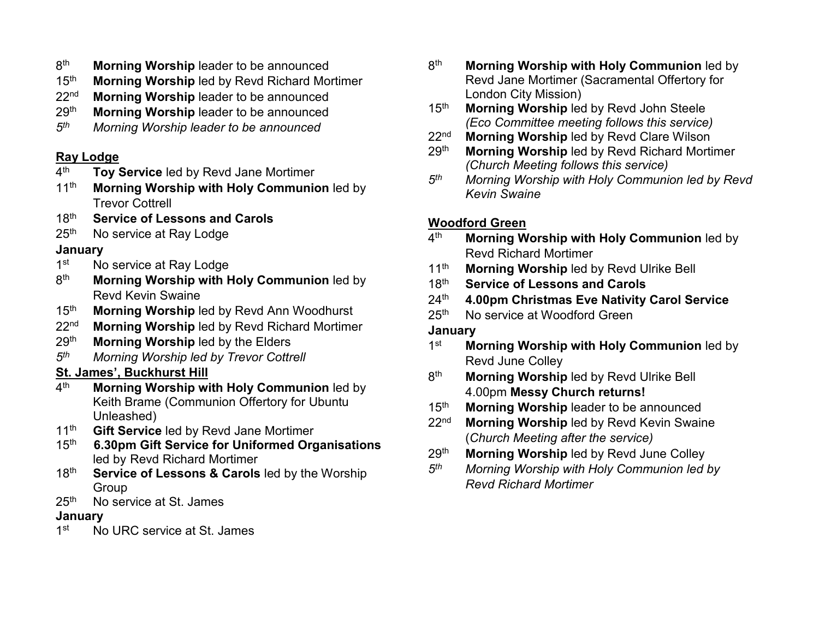- 8th **Morning Worship** leader to be announced
- 15th **Morning Worship** led by Revd Richard Mortimer
- 22nd **Morning Worship** leader to be announced
- 29th **Morning Worship** leader to be announced
- *5th Morning Worship leader to be announced*

## **Ray Lodge**

- 4th **Toy Service** led by Revd Jane Mortimer
- 11<sup>th</sup> Morning Worship with Holy Communion led by Trevor Cottrell
- 18th **Service of Lessons and Carols**
- 25<sup>th</sup> No service at Ray Lodge

## **January**

- 1<sup>st</sup> No service at Ray Lodge
- 8th **Morning Worship with Holy Communion** led by Revd Kevin Swaine
- 15th **Morning Worship** led by Revd Ann Woodhurst
- 22nd **Morning Worship** led by Revd Richard Mortimer
- 29th **Morning Worship** led by the Elders
- *5th Morning Worship led by Trevor Cottrell*

# **St. James', Buckhurst Hill**

- 4th **Morning Worship with Holy Communion** led by Keith Brame (Communion Offertory for Ubuntu Unleashed)
- 11th **Gift Service** led by Revd Jane Mortimer
- 15th **6.30pm Gift Service for Uniformed Organisations** led by Revd Richard Mortimer
- 18th **Service of Lessons & Carols** led by the Worship Group
- 25<sup>th</sup> No service at St. James

# **January**

1<sup>st</sup> No URC service at St. James

- 8th **Morning Worship with Holy Communion** led by Revd Jane Mortimer (Sacramental Offertory for London City Mission)
- 15th **Morning Worship** led by Revd John Steele *(Eco Committee meeting follows this service)*
- 22nd **Morning Worship** led by Revd Clare Wilson
- 29th **Morning Worship** led by Revd Richard Mortimer *(Church Meeting follows this service)*
- *5th Morning Worship with Holy Communion led by Revd Kevin Swaine*

# **Woodford Green**

- 4th **Morning Worship with Holy Communion** led by Revd Richard Mortimer
- 11th **Morning Worship** led by Revd Ulrike Bell
- 18th **Service of Lessons and Carols**
- 24th **4.00pm Christmas Eve Nativity Carol Service**
- 25<sup>th</sup> No service at Woodford Green

# **January**

- 1st **Morning Worship with Holy Communion** led by Revd June Colley
- 8th **Morning Worship** led by Revd Ulrike Bell 4.00pm **Messy Church returns!**
- 15th **Morning Worship** leader to be announced
- 22nd **Morning Worship** led by Revd Kevin Swaine (*Church Meeting after the service)*
- 29th **Morning Worship** led by Revd June Colley
- *5th Morning Worship with Holy Communion led by Revd Richard Mortimer*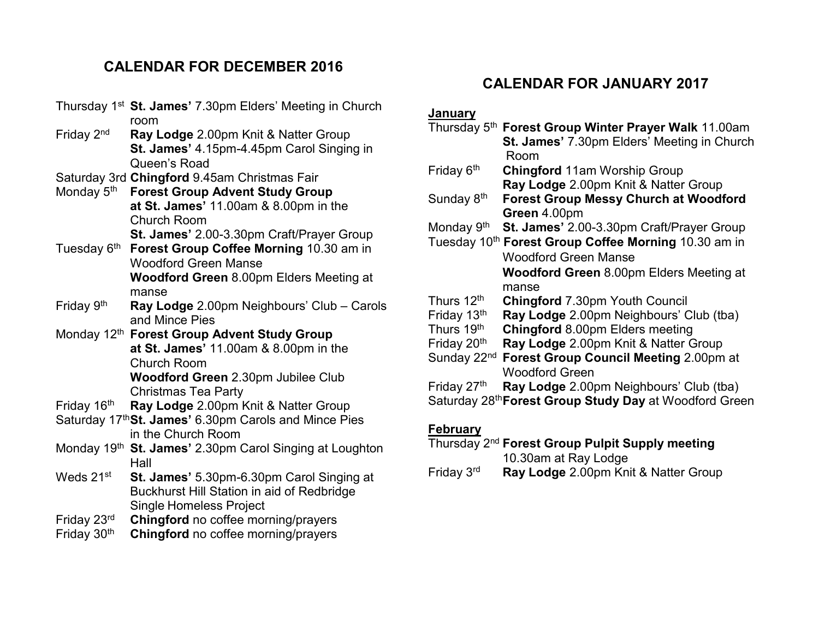# **CALENDAR FOR DECEMBER 2016**

Thursday 1st **St. James'** 7.30pm Elders' Meeting in Church room Friday 2nd **Ray Lodge** 2.00pm Knit & Natter Group **St. James'** 4.15pm-4.45pm Carol Singing in Queen's Road Saturday 3rd **Chingford** 9.45am Christmas Fair Monday 5th **Forest Group Advent Study Group at St. James'** 11.00am & 8.00pm in the Church Room **St. James'** 2.00-3.30pm Craft/Prayer Group Tuesday 6th **Forest Group Coffee Morning** 10.30 am in Woodford Green Manse **Woodford Green** 8.00pm Elders Meeting at manse Friday 9th **Ray Lodge** 2.00pm Neighbours' Club – Carols and Mince Pies Monday 12th **Forest Group Advent Study Group at St. James'** 11.00am & 8.00pm in the Church Room **Woodford Green** 2.30pm Jubilee Club Christmas Tea Party Friday 16th **Ray Lodge** 2.00pm Knit & Natter Group Saturday 17th**St. James'** 6.30pm Carols and Mince Pies in the Church Room Monday 19th **St. James'** 2.30pm Carol Singing at Loughton Hall Weds 21st **St. James'** 5.30pm-6.30pm Carol Singing at Buckhurst Hill Station in aid of Redbridge Single Homeless Project Friday 23rd **Chingford** no coffee morning/prayers Friday 30th **Chingford** no coffee morning/prayers

# **CALENDAR FOR JANUARY 2017**

#### **January**

|                         | Thursday 5th Forest Group Winter Prayer Walk 11.00am               |
|-------------------------|--------------------------------------------------------------------|
|                         | <b>St. James' 7.30pm Elders' Meeting in Church</b><br>Room         |
| Friday 6 <sup>th</sup>  | <b>Chingford 11am Worship Group</b>                                |
|                         | Ray Lodge 2.00pm Knit & Natter Group                               |
| Sunday 8 <sup>th</sup>  | <b>Forest Group Messy Church at Woodford</b>                       |
|                         | Green 4.00pm                                                       |
| Monday 9th              | St. James' 2.00-3.30pm Craft/Prayer Group                          |
|                         | Tuesday 10 <sup>th</sup> Forest Group Coffee Morning 10.30 am in   |
|                         | <b>Woodford Green Manse</b>                                        |
|                         | <b>Woodford Green 8.00pm Elders Meeting at</b>                     |
|                         | manse                                                              |
| Thurs 12 <sup>th</sup>  | <b>Chingford 7.30pm Youth Council</b>                              |
| Friday 13th             | Ray Lodge 2.00pm Neighbours' Club (tba)                            |
| Thurs 19th              | <b>Chingford 8.00pm Elders meeting</b>                             |
| Friday 20 <sup>th</sup> | Ray Lodge 2.00pm Knit & Natter Group                               |
| Sunday 22 <sup>nd</sup> | Forest Group Council Meeting 2.00pm at                             |
|                         | <b>Woodford Green</b>                                              |
| Friday 27 <sup>th</sup> | Ray Lodge 2.00pm Neighbours' Club (tba)                            |
|                         | Saturday 28 <sup>th</sup> Forest Group Study Day at Woodford Green |
|                         |                                                                    |

## **February**

# Thursday 2nd **Forest Group Pulpit Supply meeting**  10.30am at Ray Lodge

Friday 3rd **Ray Lodge** 2.00pm Knit & Natter Group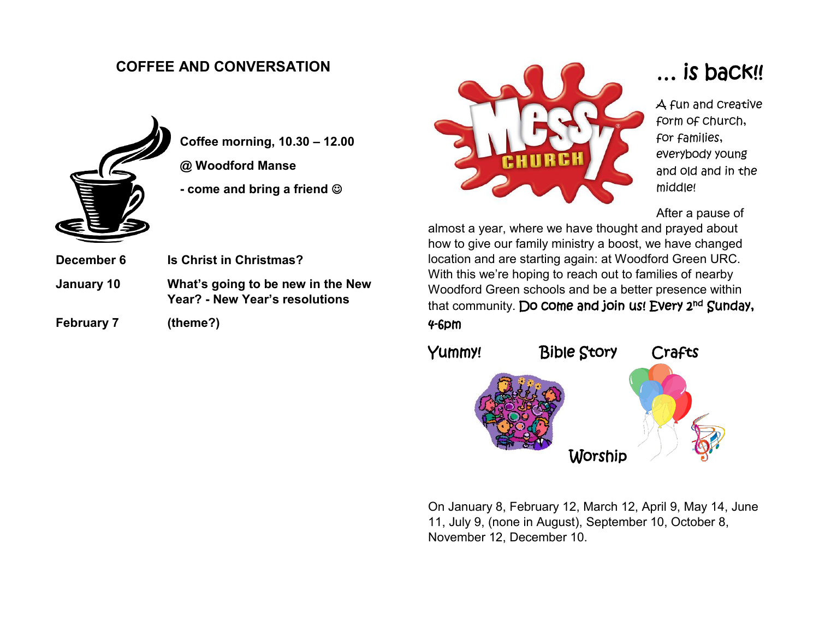# **COFFEE AND CONVERSATION**



**Coffee morning, 10.30 – 12.00 @ Woodford Manse -** come and bring a friend  $\circledcirc$ 

**Year? - New Year's resolutions**

- **December 6 Is Christ in Christmas? January 10 What's going to be new in the New**
- **February 7 (theme?)**



# … is back!!

A fun and creative form of church, for families, everybody young and old and in the middle!

After a pause of

almost a year, where we have thought and prayed about how to give our family ministry a boost, we have changed location and are starting again: at Woodford Green URC. With this we're hoping to reach out to families of nearby Woodford Green schools and be a better presence within that community. Do come and join us! Every 2<sup>nd</sup> Sunday, 4-6pm



On January 8, February 12, March 12, April 9, May 14, June 11, July 9, (none in August), September 10, October 8, November 12, December 10.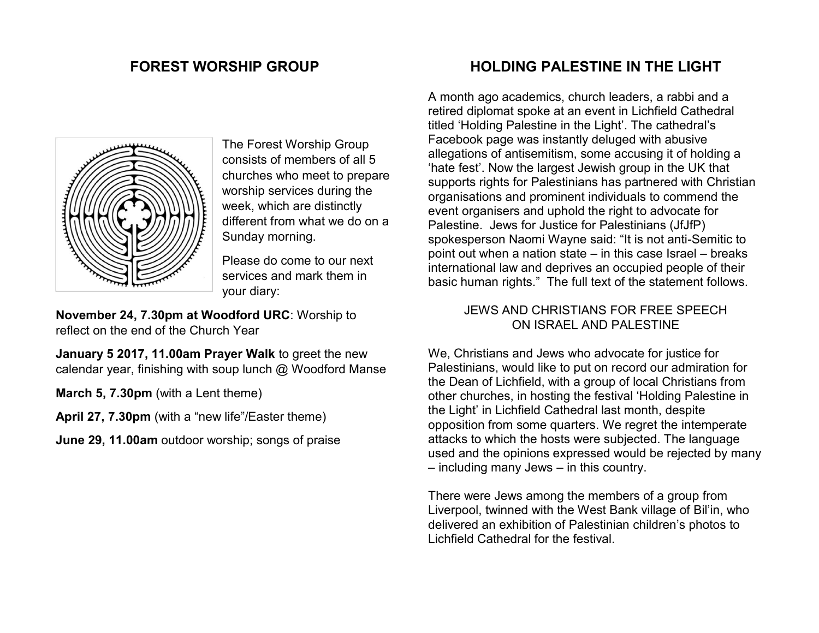# **FOREST WORSHIP GROUP**



The Forest Worship Group consists of members of all 5 churches who meet to prepare worship services during the week, which are distinctly different from what we do on a Sunday morning.

Please do come to our next services and mark them in your diary:

**November 24, 7.30pm at Woodford URC**: Worship to reflect on the end of the Church Year

**January 5 2017, 11.00am Prayer Walk** to greet the new calendar year, finishing with soup lunch @ Woodford Manse

**March 5, 7.30pm** (with a Lent theme)

**April 27, 7.30pm** (with a "new life"/Easter theme)

**June 29, 11.00am** outdoor worship; songs of praise

# **HOLDING PALESTINE IN THE LIGHT**

A month ago academics, church leaders, a rabbi and a retired diplomat spoke at an event in Lichfield Cathedral titled 'Holding Palestine in the Light'. The cathedral's Facebook page was instantly deluged with abusive allegations of antisemitism, some accusing it of holding a 'hate fest'. Now the largest Jewish group in the UK that supports rights for Palestinians has partnered with Christian organisations and prominent individuals to commend the event organisers and uphold the right to advocate for Palestine. Jews for Justice for Palestinians (JfJfP) spokesperson Naomi Wayne said: "It is not anti-Semitic to point out when a nation state – in this case Israel – breaks international law and deprives an occupied people of their basic human rights." The full text of the statement follows.

#### JEWS AND CHRISTIANS FOR FREE SPEECH ON ISRAEL AND PALESTINE

We, Christians and Jews who advocate for justice for Palestinians, would like to put on record our admiration for the Dean of Lichfield, with a group of local Christians from other churches, in hosting the festival 'Holding Palestine in the Light' in Lichfield Cathedral last month, despite opposition from some quarters. We regret the intemperate attacks to which the hosts were subjected. The language used and the opinions expressed would be rejected by many – including many Jews – in this country.

There were Jews among the members of a group from Liverpool, twinned with the West Bank village of Bil'in, who delivered an exhibition of Palestinian children's photos to Lichfield Cathedral for the festival.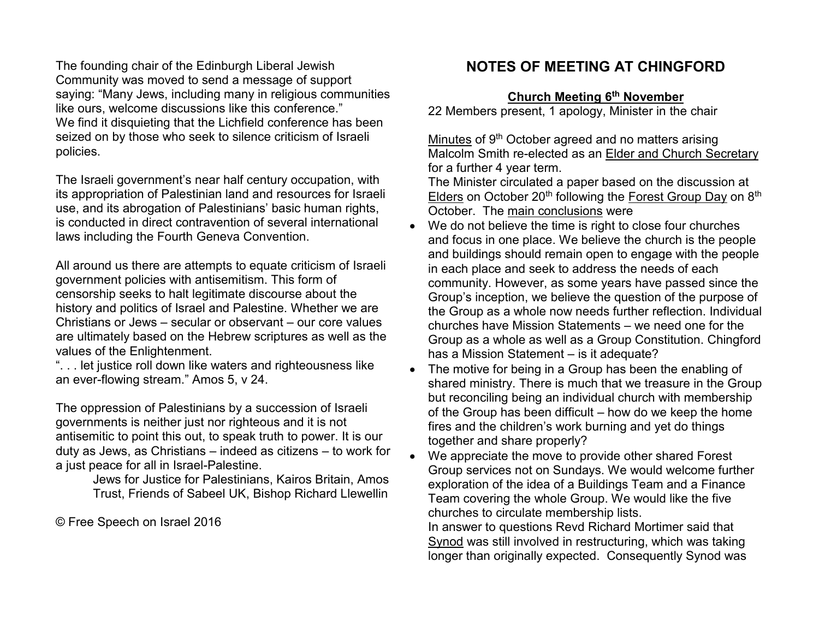The founding chair of the Edinburgh Liberal Jewish Community was moved to send a message of support saying: "Many Jews, including many in religious communities like ours, welcome discussions like this conference." We find it disquieting that the Lichfield conference has been seized on by those who seek to silence criticism of Israeli policies.

The Israeli government's near half century occupation, with its appropriation of Palestinian land and resources for Israeli use, and its abrogation of Palestinians' basic human rights, is conducted in direct contravention of several international laws including the Fourth Geneva Convention.

All around us there are attempts to equate criticism of Israeli government policies with antisemitism. This form of censorship seeks to halt legitimate discourse about the history and politics of Israel and Palestine. Whether we are Christians or Jews – secular or observant – our core values are ultimately based on the Hebrew scriptures as well as the values of the Enlightenment.

". . . let justice roll down like waters and righteousness like an ever-flowing stream." Amos 5, v 24.

The oppression of Palestinians by a succession of Israeli governments is neither just nor righteous and it is not antisemitic to point this out, to speak truth to power. It is our duty as Jews, as Christians – indeed as citizens – to work for a just peace for all in Israel-Palestine.

[Jews for Justice for Palestinians,](http://jfjfp.com/) [Kairos Britain,](http://www.kairosbritain.org.uk/) [Amos](http://www.amostrust.org/)  [Trust,](http://www.amostrust.org/) [Friends of Sabeel UK,](http://www.friendsofsabeel.org.uk/) Bishop Richard Llewellin

© Free Speech on Israel 2016

# **NOTES OF MEETING AT CHINGFORD**

#### **Church Meeting 6th November**

22 Members present, 1 apology, Minister in the chair

Minutes of 9<sup>th</sup> October agreed and no matters arising Malcolm Smith re-elected as an Elder and Church Secretary for a further 4 year term.

The Minister circulated a paper based on the discussion at Elders on October 20<sup>th</sup> following the Forest Group Day on 8<sup>th</sup> October. The main conclusions were

- We do not believe the time is right to close four churches and focus in one place. We believe the church is the people and buildings should remain open to engage with the people in each place and seek to address the needs of each community. However, as some years have passed since the Group's inception, we believe the question of the purpose of the Group as a whole now needs further reflection. Individual churches have Mission Statements – we need one for the Group as a whole as well as a Group Constitution. Chingford has a Mission Statement – is it adequate?
- The motive for being in a Group has been the enabling of shared ministry. There is much that we treasure in the Group but reconciling being an individual church with membership of the Group has been difficult – how do we keep the home fires and the children's work burning and yet do things together and share properly?
- We appreciate the move to provide other shared Forest Group services not on Sundays. We would welcome further exploration of the idea of a Buildings Team and a Finance Team covering the whole Group. We would like the five churches to circulate membership lists. In answer to questions Revd Richard Mortimer said that Synod was still involved in restructuring, which was taking longer than originally expected. Consequently Synod was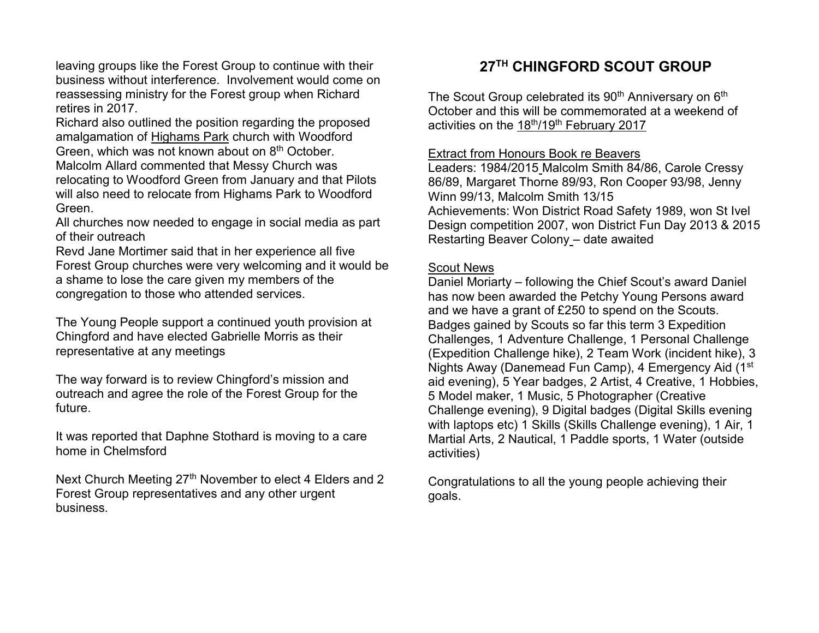leaving groups like the Forest Group to continue with their business without interference. Involvement would come on reassessing ministry for the Forest group when Richard retires in 2017.

Richard also outlined the position regarding the proposed amalgamation of Highams Park church with Woodford Green, which was not known about on 8<sup>th</sup> October. Malcolm Allard commented that Messy Church was relocating to Woodford Green from January and that Pilots will also need to relocate from Highams Park to Woodford Green.

All churches now needed to engage in social media as part of their outreach

Revd Jane Mortimer said that in her experience all five Forest Group churches were very welcoming and it would be a shame to lose the care given my members of the congregation to those who attended services.

The Young People support a continued youth provision at Chingford and have elected Gabrielle Morris as their representative at any meetings

The way forward is to review Chingford's mission and outreach and agree the role of the Forest Group for the future.

It was reported that Daphne Stothard is moving to a care home in Chelmsford

Next Church Meeting 27<sup>th</sup> November to elect 4 Elders and 2 Forest Group representatives and any other urgent business.

# **27TH CHINGFORD SCOUT GROUP**

The Scout Group celebrated its 90<sup>th</sup> Anniversary on 6<sup>th</sup> October and this will be commemorated at a weekend of activities on the 18th/19th February 2017

#### Extract from Honours Book re Beavers

Leaders: 1984/2015 Malcolm Smith 84/86, Carole Cressy 86/89, Margaret Thorne 89/93, Ron Cooper 93/98, Jenny Winn 99/13, Malcolm Smith 13/15 Achievements: Won District Road Safety 1989, won St Ivel Design competition 2007, won District Fun Day 2013 & 2015 Restarting Beaver Colony – date awaited

#### Scout News

Daniel Moriarty – following the Chief Scout's award Daniel has now been awarded the Petchy Young Persons award and we have a grant of £250 to spend on the Scouts. Badges gained by Scouts so far this term 3 Expedition Challenges, 1 Adventure Challenge, 1 Personal Challenge (Expedition Challenge hike), 2 Team Work (incident hike), 3 Nights Away (Danemead Fun Camp), 4 Emergency Aid (1<sup>st</sup>) aid evening), 5 Year badges, 2 Artist, 4 Creative, 1 Hobbies, 5 Model maker, 1 Music, 5 Photographer (Creative Challenge evening), 9 Digital badges (Digital Skills evening with laptops etc) 1 Skills (Skills Challenge evening), 1 Air, 1 Martial Arts, 2 Nautical, 1 Paddle sports, 1 Water (outside activities)

Congratulations to all the young people achieving their goals.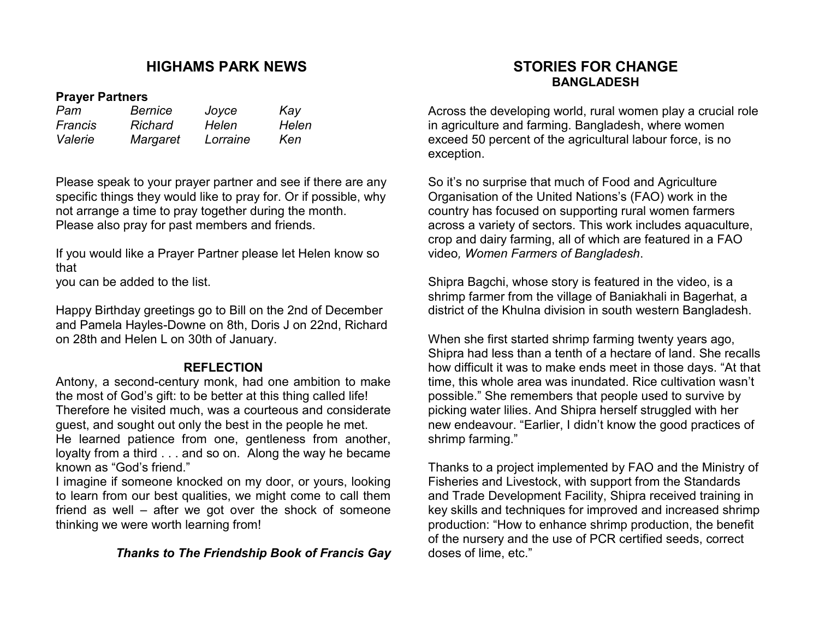## **HIGHAMS PARK NEWS**

#### **Prayer Partners**

| Pam<br><b>Francis</b> | <b>Bernice</b><br><b>Richard</b> | Joyce<br>Helen | Kay<br>Helen |
|-----------------------|----------------------------------|----------------|--------------|
|                       |                                  |                |              |

Please speak to your prayer partner and see if there are any specific things they would like to pray for. Or if possible, why not arrange a time to pray together during the month. Please also pray for past members and friends.

If you would like a Prayer Partner please let Helen know so that

you can be added to the list.

Happy Birthday greetings go to Bill on the 2nd of December and Pamela Hayles-Downe on 8th, Doris J on 22nd, Richard on 28th and Helen L on 30th of January.

#### **REFLECTION**

Antony, a second-century monk, had one ambition to make the most of God's gift: to be better at this thing called life! Therefore he visited much, was a courteous and considerate guest, and sought out only the best in the people he met. He learned patience from one, gentleness from another, loyalty from a third . . . and so on. Along the way he became known as "God's friend."

I imagine if someone knocked on my door, or yours, looking to learn from our best qualities, we might come to call them friend as well – after we got over the shock of someone thinking we were worth learning from!

#### *Thanks to The Friendship Book of Francis Gay*

#### **STORIES FOR CHANGE BANGLADESH**

Across the developing world, rural women play a crucial role in agriculture and farming. Bangladesh, where women exceed 50 percent of the agricultural labour force, is no exception.

So it's no surprise that much of Food and Agriculture Organisation of the United Nations's (FAO) work in the country has focused on supporting rural women farmers across a variety of sectors. This work includes aquaculture, crop and dairy farming, all of which are featured in a FAO video*, [Women Farmers of Bangladesh](http://www.fao.org/gender/gender-home/gender-resources/gender-videos/gender-videosdet/en/c/414061/)*.

Shipra Bagchi, whose story is featured in the video, is a shrimp farmer from the village of Baniakhali in Bagerhat, a district of the Khulna division in south western Bangladesh.

When she first started shrimp farming twenty years ago, Shipra had less than a tenth of a hectare of land. She recalls how difficult it was to make ends meet in those days. "At that time, this whole area was inundated. Rice cultivation wasn't possible." She remembers that people used to survive by picking water lilies. And Shipra herself struggled with her new endeavour. "Earlier, I didn't know the good practices of shrimp farming."

Thanks to a project implemented by FAO and the Ministry of Fisheries and Livestock, with support from the Standards and Trade Development Facility, Shipra received training in key skills and techniques for improved and increased shrimp production: "How to enhance shrimp production, the benefit of the nursery and the use of PCR certified seeds, correct doses of lime, etc."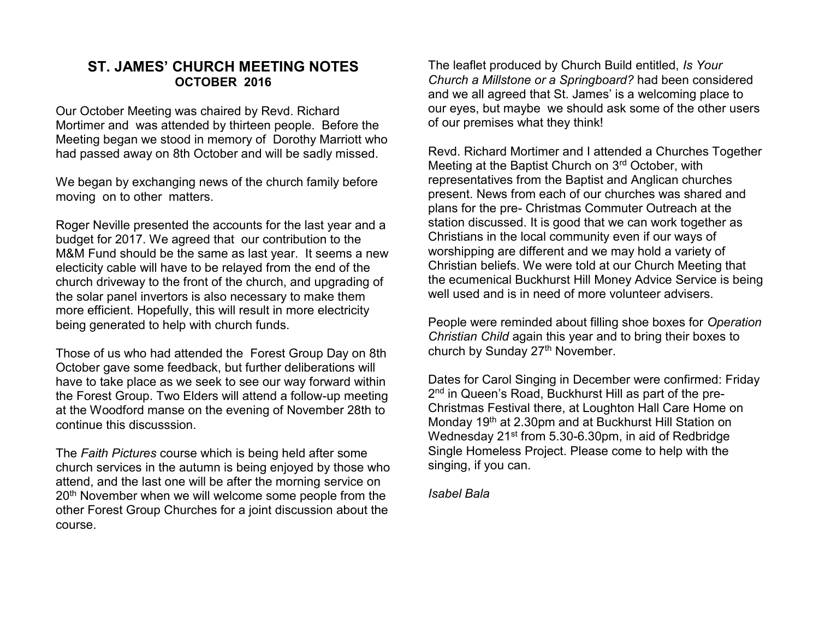#### **ST. JAMES' CHURCH MEETING NOTES OCTOBER 2016**

Our October Meeting was chaired by Revd. Richard Mortimer and was attended by thirteen people. Before the Meeting began we stood in memory of Dorothy Marriott who had passed away on 8th October and will be sadly missed.

We began by exchanging news of the church family before moving on to other matters.

Roger Neville presented the accounts for the last year and a budget for 2017. We agreed that our contribution to the M&M Fund should be the same as last year. It seems a new electicity cable will have to be relayed from the end of the church driveway to the front of the church, and upgrading of the solar panel invertors is also necessary to make them more efficient. Hopefully, this will result in more electricity being generated to help with church funds.

Those of us who had attended the Forest Group Day on 8th October gave some feedback, but further deliberations will have to take place as we seek to see our way forward within the Forest Group. Two Elders will attend a follow-up meeting at the Woodford manse on the evening of November 28th to continue this discusssion.

The *Faith Pictures* course which is being held after some church services in the autumn is being enjoyed by those who attend, and the last one will be after the morning service on 20<sup>th</sup> November when we will welcome some people from the other Forest Group Churches for a joint discussion about the course.

The leaflet produced by Church Build entitled, *Is Your Church a Millstone or a Springboard?* had been considered and we all agreed that St. James' is a welcoming place to our eyes, but maybe we should ask some of the other users of our premises what they think!

Revd. Richard Mortimer and I attended a Churches Together Meeting at the Baptist Church on 3rd October, with representatives from the Baptist and Anglican churches present. News from each of our churches was shared and plans for the pre- Christmas Commuter Outreach at the station discussed. It is good that we can work together as Christians in the local community even if our ways of worshipping are different and we may hold a variety of Christian beliefs. We were told at our Church Meeting that the ecumenical Buckhurst Hill Money Advice Service is being well used and is in need of more volunteer advisers.

People were reminded about filling shoe boxes for *Operation Christian Child* again this year and to bring their boxes to church by Sunday 27<sup>th</sup> November.

Dates for Carol Singing in December were confirmed: Friday 2<sup>nd</sup> in Queen's Road, Buckhurst Hill as part of the pre-Christmas Festival there, at Loughton Hall Care Home on Monday 19th at 2.30pm and at Buckhurst Hill Station on Wednesday 21st from 5.30-6.30pm, in aid of Redbridge Single Homeless Project. Please come to help with the singing, if you can.

*Isabel Bala*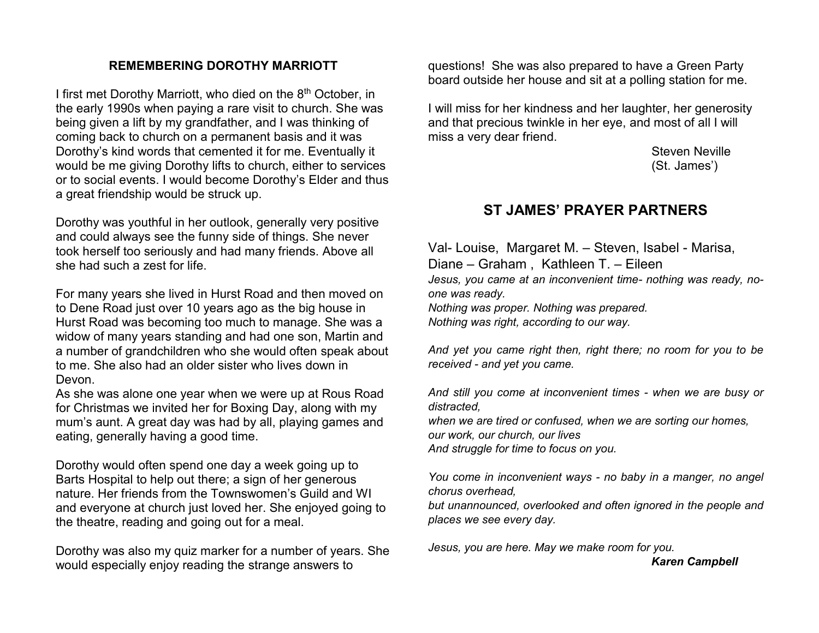#### **REMEMBERING DOROTHY MARRIOTT**

I first met Dorothy Marriott, who died on the 8<sup>th</sup> October, in the early 1990s when paying a rare visit to church. She was being given a lift by my grandfather, and I was thinking of coming back to church on a permanent basis and it was Dorothy's kind words that cemented it for me. Eventually it would be me giving Dorothy lifts to church, either to services or to social events. I would become Dorothy's Elder and thus a great friendship would be struck up.

Dorothy was youthful in her outlook, generally very positive and could always see the funny side of things. She never took herself too seriously and had many friends. Above all she had such a zest for life.

For many years she lived in Hurst Road and then moved on to Dene Road just over 10 years ago as the big house in Hurst Road was becoming too much to manage. She was a widow of many years standing and had one son, Martin and a number of grandchildren who she would often speak about to me. She also had an older sister who lives down in Devon.

As she was alone one year when we were up at Rous Road for Christmas we invited her for Boxing Day, along with my mum's aunt. A great day was had by all, playing games and eating, generally having a good time.

Dorothy would often spend one day a week going up to Barts Hospital to help out there; a sign of her generous nature. Her friends from the Townswomen's Guild and WI and everyone at church just loved her. She enjoyed going to the theatre, reading and going out for a meal.

Dorothy was also my quiz marker for a number of years. She would especially enjoy reading the strange answers to

questions! She was also prepared to have a Green Party board outside her house and sit at a polling station for me.

I will miss for her kindness and her laughter, her generosity and that precious twinkle in her eye, and most of all I will miss a very dear friend.

> Steven Neville (St. James')

## **ST JAMES' PRAYER PARTNERS**

Val- Louise, Margaret M. – Steven, Isabel - Marisa, Diane – Graham , Kathleen T. – Eileen *Jesus, you came at an inconvenient time- nothing was ready, noone was ready. Nothing was proper. Nothing was prepared. Nothing was right, according to our way.*

*And yet you came right then, right there; no room for you to be received - and yet you came.*

*And still you come at inconvenient times - when we are busy or distracted,*

*when we are tired or confused, when we are sorting our homes, our work, our church, our lives And struggle for time to focus on you.* 

*You come in inconvenient ways - no baby in a manger, no angel chorus overhead,* 

*but unannounced, overlooked and often ignored in the people and places we see every day.*

*Jesus, you are here. May we make room for you.* 

 *Karen Campbell*